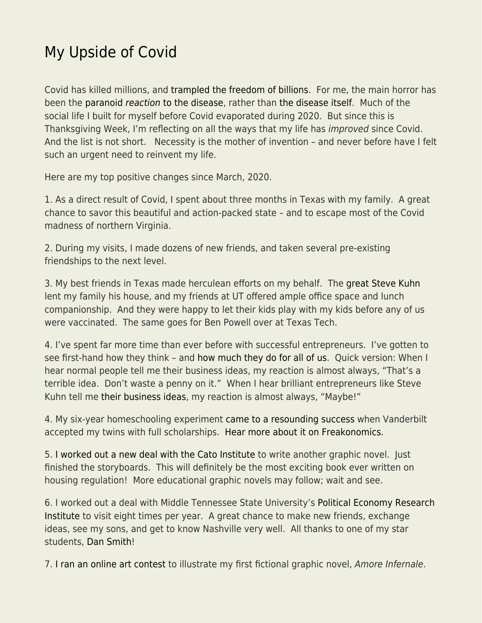## [My Upside of Covid](https://everything-voluntary.com/my-upside-of-covid)

Covid has killed millions, and [trampled the freedom of billions.](https://www.econlib.org/covid-prevention-and-cost-benefit-analysis/) For me, the main horror has been the [paranoid](https://www.econlib.org/?p=52841) [reaction](https://www.econlib.org/?p=52841) [to the disease,](https://www.econlib.org/?p=52841) rather than [the disease itself](https://www.econlib.org/an-ageless-hypothetical/). Much of the social life I built for myself before Covid evaporated during 2020. But since this is Thanksgiving Week, I'm reflecting on all the ways that my life has improved since Covid. And the list is not short. Necessity is the mother of invention – and never before have I felt such an urgent need to reinvent my life.

Here are my top positive changes since March, 2020.

1. As a direct result of Covid, I spent about three months in Texas with my family. A great chance to savor this beautiful and action-packed state – and to escape most of the Covid madness of northern Virginia.

2. During my visits, I made dozens of new friends, and taken several pre-existing friendships to the next level.

3. My best friends in Texas made herculean efforts on my behalf. The [great Steve Kuhn](https://www.bloomberg.com/news/videos/2016-04-05/steve-kuhn-is-vastly-reducing-role-in-firm) lent my family his house, and my friends at UT offered ample office space and lunch companionship. And they were happy to let their kids play with my kids before any of us were vaccinated. The same goes for Ben Powell over at Texas Tech.

4. I've spent far more time than ever before with successful entrepreneurs. I've gotten to see first-hand how they think – and [how much they do for all of us](https://www.econlib.org/pro-market-and-pro-business/). Quick version: When I hear normal people tell me their business ideas, my reaction is almost always, "That's a terrible idea. Don't waste a penny on it." When I hear brilliant entrepreneurs like Steve Kuhn tell me [their business ideas](https://dreamlanddstx.com/), my reaction is almost always, "Maybe!"

4. My six-year homeschooling experiment [came to a resounding success](https://www.econlib.org/our-homeschooling-odyssey/) when Vanderbilt accepted my twins with full scholarships. [Hear more about it on Freakonomics.](https://freakonomics.com/podcast/economist-parents-redux/)

5. [I worked out a new deal with the Cato Institute](https://www.econlib.org/build-baby-build-now-under-construction/) to write another graphic novel. Just finished the storyboards. This will definitely be the most exciting book ever written on housing regulation! More educational graphic novels may follow; wait and see.

6. I worked out a deal with Middle Tennessee State University's [Political Economy Research](https://www.mtsu.edu/peri/) [Institute](https://www.mtsu.edu/peri/) to visit eight times per year. A great chance to make new friends, exchange ideas, see my sons, and get to know Nashville very well. All thanks to one of my star students, [Dan Smith](https://www.mtsu.edu/faculty/daniel-j-smith)!

7. [I ran an online art contest](https://www.econlib.org/reflections-on-my-illustration-contest/) to illustrate my first fictional graphic novel, Amore Infernale.